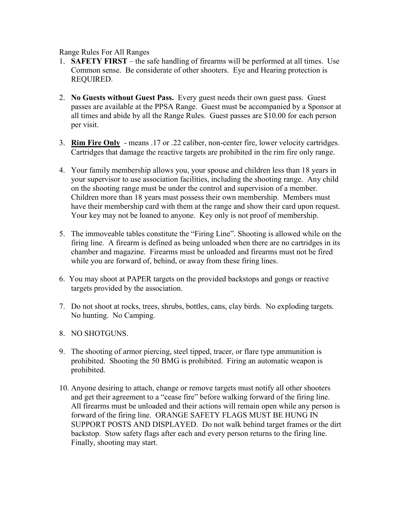Range Rules For All Ranges

- 1. **SAFETY FIRST** the safe handling of firearms will be performed at all times. Use Common sense. Be considerate of other shooters. Eye and Hearing protection is REQUIRED.
- 2. **No Guests without Guest Pass.** Every guest needs their own guest pass. Guest passes are available at the PPSA Range. Guest must be accompanied by a Sponsor at all times and abide by all the Range Rules. Guest passes are \$10.00 for each person per visit.
- 3. **Rim Fire Only** means .17 or .22 caliber, non-center fire, lower velocity cartridges. Cartridges that damage the reactive targets are prohibited in the rim fire only range.
- 4. Your family membership allows you, your spouse and children less than 18 years in your supervisor to use association facilities, including the shooting range. Any child on the shooting range must be under the control and supervision of a member. Children more than 18 years must possess their own membership. Members must have their membership card with them at the range and show their card upon request. Your key may not be loaned to anyone. Key only is not proof of membership.
- 5. The immoveable tables constitute the "Firing Line". Shooting is allowed while on the firing line. A firearm is defined as being unloaded when there are no cartridges in its chamber and magazine. Firearms must be unloaded and firearms must not be fired while you are forward of, behind, or away from these firing lines.
- 6. You may shoot at PAPER targets on the provided backstops and gongs or reactive targets provided by the association.
- 7. Do not shoot at rocks, trees, shrubs, bottles, cans, clay birds. No exploding targets. No hunting. No Camping.
- 8. NO SHOTGUNS.
- 9. The shooting of armor piercing, steel tipped, tracer, or flare type ammunition is prohibited. Shooting the 50 BMG is prohibited. Firing an automatic weapon is prohibited.
- 10. Anyone desiring to attach, change or remove targets must notify all other shooters and get their agreement to a "cease fire" before walking forward of the firing line. All firearms must be unloaded and their actions will remain open while any person is forward of the firing line. ORANGE SAFETY FLAGS MUST BE HUNG IN SUPPORT POSTS AND DISPLAYED. Do not walk behind target frames or the dirt backstop. Stow safety flags after each and every person returns to the firing line. Finally, shooting may start.